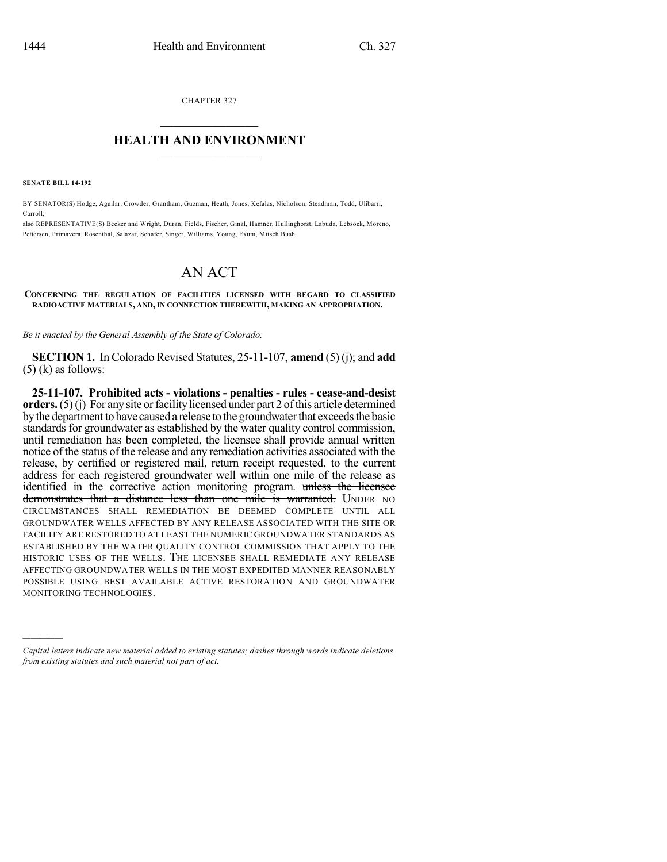CHAPTER 327  $\mathcal{L}_\text{max}$  . The set of the set of the set of the set of the set of the set of the set of the set of the set of the set of the set of the set of the set of the set of the set of the set of the set of the set of the set

## **HEALTH AND ENVIRONMENT**  $\_$

**SENATE BILL 14-192**

)))))

BY SENATOR(S) Hodge, Aguilar, Crowder, Grantham, Guzman, Heath, Jones, Kefalas, Nicholson, Steadman, Todd, Ulibarri, Carroll;

also REPRESENTATIVE(S) Becker and Wright, Duran, Fields, Fischer, Ginal, Hamner, Hullinghorst, Labuda, Lebsock, Moreno, Pettersen, Primavera, Rosenthal, Salazar, Schafer, Singer, Williams, Young, Exum, Mitsch Bush.

## AN ACT

## **CONCERNING THE REGULATION OF FACILITIES LICENSED WITH REGARD TO CLASSIFIED RADIOACTIVE MATERIALS, AND, IN CONNECTION THEREWITH, MAKING AN APPROPRIATION.**

*Be it enacted by the General Assembly of the State of Colorado:*

**SECTION 1.** In Colorado Revised Statutes, 25-11-107, **amend** (5) (j); and **add**  $(5)$  (k) as follows:

**25-11-107. Prohibited acts - violations - penalties - rules - cease-and-desist orders.** (5)(i) For any site or facility licensed under part 2 of this article determined bythe department to have caused a release to the groundwaterthat exceedsthe basic standards for groundwater as established by the water quality control commission, until remediation has been completed, the licensee shall provide annual written notice of the status of the release and any remediation activities associated with the release, by certified or registered mail, return receipt requested, to the current address for each registered groundwater well within one mile of the release as identified in the corrective action monitoring program. unless the licensee demonstrates that a distance less than one mile is warranted. UNDER NO CIRCUMSTANCES SHALL REMEDIATION BE DEEMED COMPLETE UNTIL ALL GROUNDWATER WELLS AFFECTED BY ANY RELEASE ASSOCIATED WITH THE SITE OR FACILITY ARE RESTORED TO AT LEAST THE NUMERIC GROUNDWATER STANDARDS AS ESTABLISHED BY THE WATER QUALITY CONTROL COMMISSION THAT APPLY TO THE HISTORIC USES OF THE WELLS. THE LICENSEE SHALL REMEDIATE ANY RELEASE AFFECTING GROUNDWATER WELLS IN THE MOST EXPEDITED MANNER REASONABLY POSSIBLE USING BEST AVAILABLE ACTIVE RESTORATION AND GROUNDWATER MONITORING TECHNOLOGIES.

*Capital letters indicate new material added to existing statutes; dashes through words indicate deletions from existing statutes and such material not part of act.*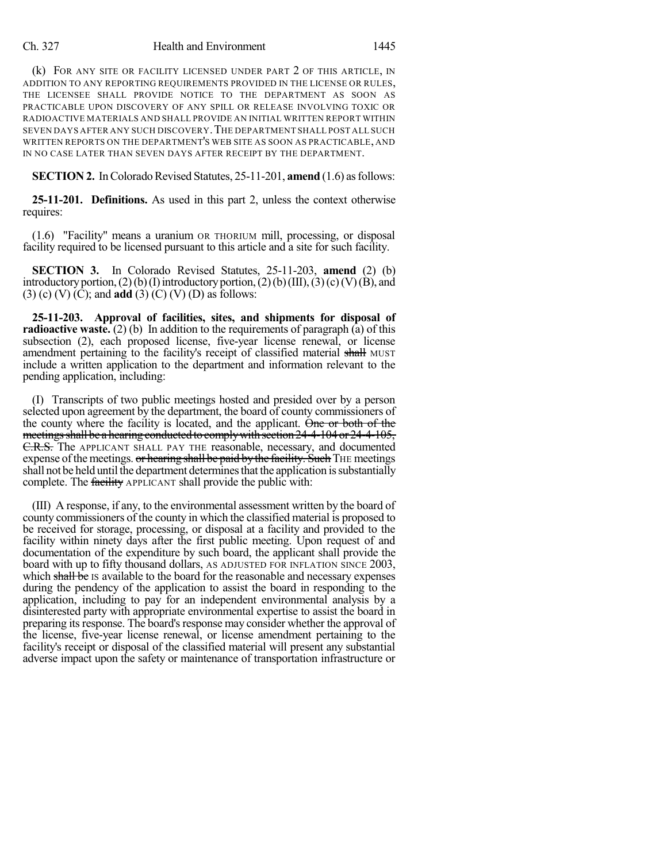## Ch. 327 Health and Environment 1445

(k) FOR ANY SITE OR FACILITY LICENSED UNDER PART 2 OF THIS ARTICLE, IN ADDITION TO ANY REPORTING REQUIREMENTS PROVIDED IN THE LICENSE OR RULES, THE LICENSEE SHALL PROVIDE NOTICE TO THE DEPARTMENT AS SOON AS PRACTICABLE UPON DISCOVERY OF ANY SPILL OR RELEASE INVOLVING TOXIC OR RADIOACTIVE MATERIALS AND SHALL PROVIDE AN INITIAL WRITTEN REPORT WITHIN SEVEN DAYS AFTER ANY SUCH DISCOVERY.THE DEPARTMENT SHALL POST ALL SUCH WRITTEN REPORTS ON THE DEPARTMENT'S WEB SITE AS SOON AS PRACTICABLE, AND IN NO CASE LATER THAN SEVEN DAYS AFTER RECEIPT BY THE DEPARTMENT.

**SECTION 2.** In Colorado Revised Statutes, 25-11-201, **amend** (1.6) as follows:

**25-11-201. Definitions.** As used in this part 2, unless the context otherwise requires:

(1.6) "Facility" means a uranium OR THORIUM mill, processing, or disposal facility required to be licensed pursuant to this article and a site for such facility.

**SECTION 3.** In Colorado Revised Statutes, 25-11-203, **amend** (2) (b) introductory portion, (2)(b)(I) introductory portion, (2)(b)(III), (3)(c)(V)(B), and (3) (c) (V) (C); and **add** (3) (C) (V) (D) as follows:

**25-11-203. Approval of facilities, sites, and shipments for disposal of radioactive waste.** (2) (b) In addition to the requirements of paragraph (a) of this subsection (2), each proposed license, five-year license renewal, or license amendment pertaining to the facility's receipt of classified material shall MUST include a written application to the department and information relevant to the pending application, including:

(I) Transcripts of two public meetings hosted and presided over by a person selected upon agreement by the department, the board of county commissioners of the county where the facility is located, and the applicant. One or both of the meetings shall be a hearing conducted to comply with section 24-4-104 or 24-4-105, C.R.S. The APPLICANT SHALL PAY THE reasonable, necessary, and documented expense of the meetings. or hearing shall be paid by the facility. Such THE meetings shall not be held until the department determinesthat the application issubstantially complete. The facility APPLICANT shall provide the public with:

(III) A response, if any, to the environmental assessment written by the board of county commissioners of the county in which the classified material is proposed to be received for storage, processing, or disposal at a facility and provided to the facility within ninety days after the first public meeting. Upon request of and documentation of the expenditure by such board, the applicant shall provide the board with up to fifty thousand dollars, AS ADJUSTED FOR INFLATION SINCE 2003, which shall be IS available to the board for the reasonable and necessary expenses during the pendency of the application to assist the board in responding to the application, including to pay for an independent environmental analysis by a disinterested party with appropriate environmental expertise to assist the board in preparing its response. The board's response may consider whether the approval of the license, five-year license renewal, or license amendment pertaining to the facility's receipt or disposal of the classified material will present any substantial adverse impact upon the safety or maintenance of transportation infrastructure or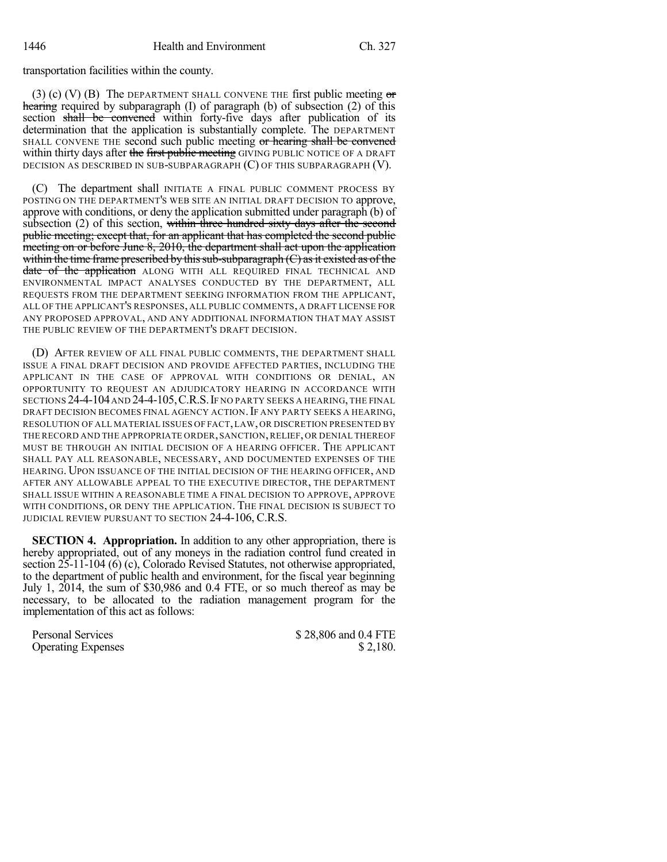transportation facilities within the county.

(3) (c) (V) (B) The DEPARTMENT SHALL CONVENE THE first public meeting  $\sigma$ hearing required by subparagraph (I) of paragraph (b) of subsection (2) of this section shall be convened within forty-five days after publication of its determination that the application is substantially complete. The DEPARTMENT SHALL CONVENE THE second such public meeting or hearing shall be convened within thirty days after the first public meeting GIVING PUBLIC NOTICE OF A DRAFT DECISION AS DESCRIBED IN SUB-SUBPARAGRAPH (C) OF THIS SUBPARAGRAPH (V).

(C) The department shall INITIATE A FINAL PUBLIC COMMENT PROCESS BY POSTING ON THE DEPARTMENT'S WEB SITE AN INITIAL DRAFT DECISION TO approve, approve with conditions, or deny the application submitted under paragraph (b) of subsection (2) of this section, within three hundred sixty days after the second public meeting; except that, for an applicant that has completed the second public meeting on or before June 8, 2010, the department shall act upon the application within the time frame prescribed by this sub-subparagraph  $(C)$  as it existed as of the date of the application ALONG WITH ALL REQUIRED FINAL TECHNICAL AND ENVIRONMENTAL IMPACT ANALYSES CONDUCTED BY THE DEPARTMENT, ALL REQUESTS FROM THE DEPARTMENT SEEKING INFORMATION FROM THE APPLICANT, ALL OF THE APPLICANT'S RESPONSES, ALL PUBLIC COMMENTS, A DRAFT LICENSE FOR ANY PROPOSED APPROVAL, AND ANY ADDITIONAL INFORMATION THAT MAY ASSIST THE PUBLIC REVIEW OF THE DEPARTMENT'S DRAFT DECISION.

(D) AFTER REVIEW OF ALL FINAL PUBLIC COMMENTS, THE DEPARTMENT SHALL ISSUE A FINAL DRAFT DECISION AND PROVIDE AFFECTED PARTIES, INCLUDING THE APPLICANT IN THE CASE OF APPROVAL WITH CONDITIONS OR DENIAL, AN OPPORTUNITY TO REQUEST AN ADJUDICATORY HEARING IN ACCORDANCE WITH SECTIONS 24-4-104AND 24-4-105,C.R.S.IF NO PARTY SEEKS A HEARING, THE FINAL DRAFT DECISION BECOMES FINAL AGENCY ACTION. IF ANY PARTY SEEKS A HEARING, RESOLUTION OF ALL MATERIAL ISSUES OF FACT,LAW, OR DISCRETION PRESENTED BY THE RECORD AND THE APPROPRIATE ORDER,SANCTION,RELIEF, OR DENIAL THEREOF MUST BE THROUGH AN INITIAL DECISION OF A HEARING OFFICER. THE APPLICANT SHALL PAY ALL REASONABLE, NECESSARY, AND DOCUMENTED EXPENSES OF THE HEARING. UPON ISSUANCE OF THE INITIAL DECISION OF THE HEARING OFFICER, AND AFTER ANY ALLOWABLE APPEAL TO THE EXECUTIVE DIRECTOR, THE DEPARTMENT SHALL ISSUE WITHIN A REASONABLE TIME A FINAL DECISION TO APPROVE, APPROVE WITH CONDITIONS, OR DENY THE APPLICATION. THE FINAL DECISION IS SUBJECT TO JUDICIAL REVIEW PURSUANT TO SECTION 24-4-106, C.R.S.

**SECTION 4. Appropriation.** In addition to any other appropriation, there is hereby appropriated, out of any moneys in the radiation control fund created in section  $25-11-104$  (6) (c), Colorado Revised Statutes, not otherwise appropriated, to the department of public health and environment, for the fiscal year beginning July 1, 2014, the sum of \$30,986 and 0.4 FTE, or so much thereof as may be necessary, to be allocated to the radiation management program for the implementation of this act as follows:

**Operating Expenses** 

Personal Services  $$ 28,806 \text{ and } 0.4 \text{ FTE}$ <br>Operating Expenses  $$ 2.180.$